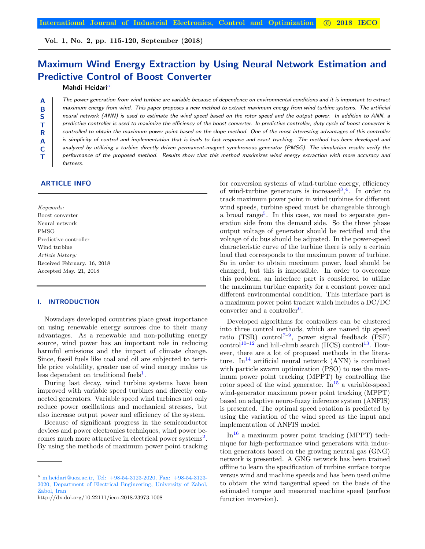Vol. 1, No. 2, pp. 115-120, September (2018)

# Maximum Wind Energy Extraction by Using Neural Network Estimation and Predictive Control of Boost Converter

## Mahdi Heidari<sup>a</sup>

The power generation from wind turbine are variable because of dependence on environmental conditions and it is important to extract maximum energy from wind. This paper proposes a new method to extract maximum energy from wind turbine systems. The artificial neural network (ANN) is used to estimate the wind speed based on the rotor speed and the output power. In addition to ANN, a predictive controller is used to maximize the efficiency of the boost converter. In predictive controller, duty cycle of boost converter is controlled to obtain the maximum power point based on the slope method. One of the most interesting advantages of this controller is simplicity of control and implementation that is leads to fast response and exact tracking. The method has been developed and analyzed by utilizing a turbine directly driven permanent-magnet synchronous generator (PMSG). The simulation results verify the performance of the proposed method. Results show that this method maximizes wind energy extraction with more accuracy and fastness.

# ARTICLE INFO

A B S T R A C T

Keywords: Boost converter Neural network PMSG Predictive controller Wind turbine Article history: Received February. 16, 2018 Accepted May. 21, 2018

#### I. INTRODUCTION

Nowadays developed countries place great importance on using renewable energy sources due to their many advantages. As a renewable and non-polluting energy source, wind power has an important role in reducing harmful emissions and the impact of climate change. Since, fossil fuels like coal and oil are subjected to terrible price volatility, greater use of wind energy makes us less dependent on traditional fuels<sup>[1](#page-4-0)</sup>.

During last decay, wind turbine systems have been improved with variable speed turbines and directly connected generators. Variable speed wind turbines not only reduce power oscillations and mechanical stresses, but also increase output power and efficiency of the system.

Because of significant progress in the semiconductor devices and power electronics techniques, wind power be-comes much more attractive in electrical power systems<sup>[2](#page-4-1)</sup>. By using the methods of maximum power point tracking

for conversion systems of wind-turbine energy, efficiency of wind-turbine generators is increased  $3,4$  $3,4$  $3,4$ . In order to track maximum power point in wind turbines for different wind speeds, turbine speed must be changeable through a broad range<sup>[5](#page-4-4)</sup>. In this case, we need to separate generation side from the demand side. So the three phase output voltage of generator should be rectified and the voltage of dc bus should be adjusted. In the power-speed characteristic curve of the turbine there is only a certain load that corresponds to the maximum power of turbine. So in order to obtain maximum power, load should be changed, but this is impossible. In order to overcome this problem, an interface part is considered to utilize the maximum turbine capacity for a constant power and different environmental condition. This interface part is a maximum power point tracker which includes a DC/DC converter and a controller<sup>[6](#page-5-0)</sup>.

Developed algorithms for controllers can be clustered into three control methods, which are named tip speed ratio (TSR) control<sup>7-[9](#page-5-2)</sup>, power signal feedback (PSF) control<sup>[10](#page-5-3)[–12](#page-5-4)</sup> and hill-climb search (HCS) control<sup>[13](#page-5-5)</sup>. However, there are a lot of proposed methods in the litera-ture. In<sup>[14](#page-5-6)</sup> artificial neural network (ANN) is combined with particle swarm optimization (PSO) to use the maximum power point tracking (MPPT) by controlling the rotor speed of the wind generator.  $\text{In}^{15}$  $\text{In}^{15}$  $\text{In}^{15}$  a variable-speed wind-generator maximum power point tracking (MPPT) based on adaptive neuro-fuzzy inference system (ANFIS) is presented. The optimal speed rotation is predicted by using the variation of the wind speed as the input and implementation of ANFIS model.

 $In<sup>16</sup>$  $In<sup>16</sup>$  $In<sup>16</sup>$  a maximum power point tracking (MPPT) technique for high-performance wind generators with induction generators based on the growing neutral gas (GNG) network is presented. A GNG network has been trained offline to learn the specification of turbine surface torque versus wind and machine speeds and has been used online to obtain the wind tangential speed on the basis of the estimated torque and measured machine speed (surface function inversion).

<span id="page-0-0"></span>a)m.heidari@uoz.ac.ir, Tel: +98-54-3123-2020, Fax: +98-54-3123- 2020, Department of Electrical Engineering, University of Zabol, Zabol, Iran

http://dx.doi.org/10.22111/ieco.2018.23973.1008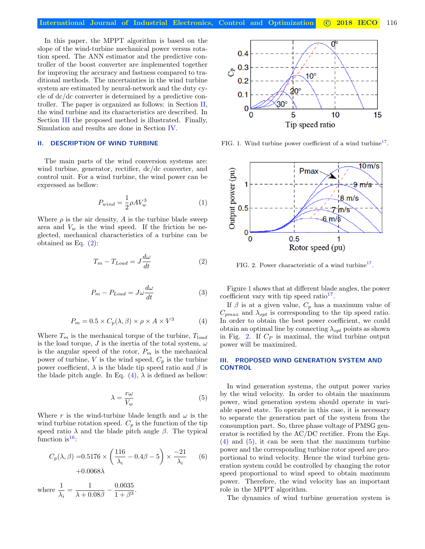In this paper, the MPPT algorithm is based on the slope of the wind-turbine mechanical power versus rotation speed. The ANN estimator and the predictive controller of the boost converter are implemented together for improving the accuracy and fastness compared to traditional methods. The uncertainties in the wind turbine system are estimated by neural-network and the duty cycle of dc/dc converter is determined by a predictive controller. The paper is organized as follows: in Section [II,](#page-1-0) the wind turbine and its characteristics are described. In Section [III](#page-1-1) the proposed method is illustrated. Finally, Simulation and results are done in Section [IV.](#page-3-0)

## <span id="page-1-0"></span>II. DESCRIPTION OF WIND TURBINE

The main parts of the wind conversion systems are: wind turbine, generator, rectifier, dc/dc converter, and control unit. For a wind turbine, the wind power can be expressed as bellow:

$$
P_{wind} = \frac{1}{2} \rho A V_w^3 \tag{1}
$$

Where  $\rho$  is the air density, A is the turbine blade sweep area and  $V_w$  is the wind speed. If the friction be neglected, mechanical characteristics of a turbine can be obtained as Eq. [\(2\)](#page-1-2):

<span id="page-1-2"></span>
$$
T_m - T_{Load} = J \frac{d\omega}{dt}
$$
 (2)

$$
P_m - P_{Load} = J\omega \frac{d\omega}{dt} \tag{3}
$$

$$
P_m = 0.5 \times C_p(\lambda, \beta) \times \rho \times A \times V^3 \tag{4}
$$

<span id="page-1-3"></span>Where  $T_m$  is the mechanical torque of the turbine,  $T_{load}$ is the load torque, J is the inertia of the total system,  $\omega$ is the angular speed of the rotor,  $P_m$  is the mechanical power of turbine, V is the wind speed,  $C_p$  is the turbine power coefficient,  $\lambda$  is the blade tip speed ratio and  $\beta$  is the blade pitch angle. In Eq.  $(4)$ ,  $\lambda$  is defined as bellow:

$$
\lambda = \frac{r\omega}{V_w} \tag{5}
$$

<span id="page-1-6"></span>Where r is the wind-turbine blade length and  $\omega$  is the wind turbine rotation speed.  $C_p$  is the function of the tip speed ratio  $\lambda$  and the blade pitch angle  $\beta$ . The typical function is  $16$ :

$$
C_p(\lambda, \beta) = 0.5176 \times \left(\frac{116}{\lambda_i} - 0.4\beta - 5\right) \times \frac{-21}{\lambda_i} \qquad (6)
$$
  
+0.0068 $\lambda$ 

where  $\frac{1}{\lambda_i} = \frac{1}{\lambda + 0}$  $\frac{1}{\lambda + 0.08\beta} - \frac{0.0035}{1 + \beta^3}$  $\frac{0.0000}{1 + \beta^3}$ 



<span id="page-1-4"></span>FIG. 1. Wind turbine power coefficient of a wind turbine<sup>[17](#page-5-9)</sup>.



<span id="page-1-5"></span>FIG. 2. Power characteristic of a wind turbine<sup>[17](#page-5-9)</sup>.

Figure [1](#page-1-4) shows that at different blade angles, the power coefficient vary with tip speed ratio $17$ .

If  $\beta$  is at a given value,  $C_p$  has a maximum value of  $C_{pmax}$  and  $\lambda_{opt}$  is corresponding to the tip speed ratio. In order to obtain the best power coefficient, we could obtain an optimal line by connecting  $\lambda_{opt}$  points as shown in Fig. [2.](#page-1-5) If  $C_P$  is maximal, the wind turbine output power will be maximized.

## <span id="page-1-1"></span>III. PROPOSED WIND GENERATION SYSTEM AND **CONTROL**

In wind generation systems, the output power varies by the wind velocity. In order to obtain the maximum power, wind generation system should operate in variable speed state. To operate in this case, it is necessary to separate the generation part of the system from the consumption part. So, three phase voltage of PMSG generator is rectified by the AC/DC rectifier. From the Eqs. [\(4\)](#page-1-3) and [\(5\)](#page-1-6), it can be seen that the maximum turbine power and the corresponding turbine rotor speed are proportional to wind velocity. Hence the wind turbine generation system could be controlled by changing the rotor speed proportional to wind speed to obtain maximum power. Therefore, the wind velocity has an important role in the MPPT algorithm.

The dynamics of wind turbine generation system is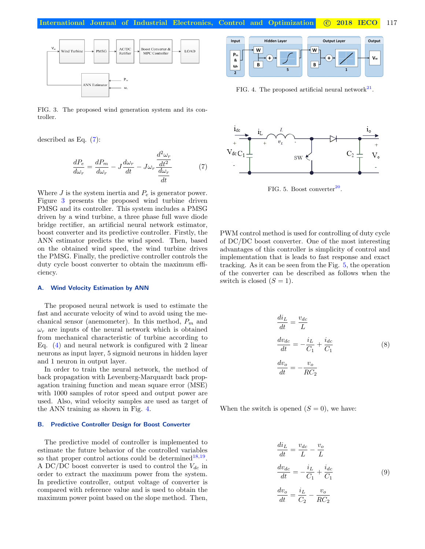International Journal of Industrial Electronics, Control and Optimization C 2018 IECO 117



<span id="page-2-1"></span>FIG. 3. The proposed wind generation system and its controller.

described as Eq. [\(7\)](#page-2-0):

<span id="page-2-0"></span>
$$
\frac{dP_e}{d\omega_r} = \frac{dP_m}{d\omega_r} - J\frac{d\omega_r}{dt} - J\omega_r \frac{\frac{d^2\omega_r}{dt^2}}{\frac{d\omega_r}{dt}}
$$
(7)

Where  $J$  is the system inertia and  $P_e$  is generator power. Figure [3](#page-2-1) presents the proposed wind turbine driven PMSG and its controller. This system includes a PMSG driven by a wind turbine, a three phase full wave diode bridge rectifier, an artificial neural network estimator, boost converter and its predictive controller. Firstly, the ANN estimator predicts the wind speed. Then, based on the obtained wind speed, the wind turbine drives the PMSG. Finally, the predictive controller controls the duty cycle boost converter to obtain the maximum efficiency.

#### A. Wind Velocity Estimation by ANN

The proposed neural network is used to estimate the fast and accurate velocity of wind to avoid using the mechanical sensor (anemometer). In this method,  $P_m$  and  $\omega_r$  are inputs of the neural network which is obtained from mechanical characteristic of turbine according to Eq. [\(4\)](#page-1-3) and neural network is configured with 2 linear neurons as input layer, 5 sigmoid neurons in hidden layer and 1 neuron in output layer.

In order to train the neural network, the method of back propagation with Levenberg-Marquardt back propagation training function and mean square error (MSE) with 1000 samples of rotor speed and output power are used. Also, wind velocity samples are used as target of the ANN training as shown in Fig. [4.](#page-2-2)

#### B. Predictive Controller Design for Boost Converter

The predictive model of controller is implemented to estimate the future behavior of the controlled variables so that proper control actions could be determined  $18,19$  $18,19$ . A DC/DC boost converter is used to control the  $V_{dc}$  in order to extract the maximum power from the system. In predictive controller, output voltage of converter is compared with reference value and is used to obtain the maximum power point based on the slope method. Then,



<span id="page-2-2"></span>FIG. 4. The proposed artificial neural network $^{21}$  $^{21}$  $^{21}$ .



<span id="page-2-3"></span>FIG. 5. Boost converter $20$ .

PWM control method is used for controlling of duty cycle of DC/DC boost converter. One of the most interesting advantages of this controller is simplicity of control and implementation that is leads to fast response and exact tracking. As it can be seen from the Fig. [5,](#page-2-3) the operation of the converter can be described as follows when the switch is closed  $(S = 1)$ .

$$
\begin{aligned}\n\frac{di_L}{dt} &= \frac{v_{dc}}{L} \\
\frac{dv_{dc}}{dt} &= -\frac{i_L}{C_1} + \frac{i_{dc}}{C_1} \\
\frac{dv_o}{dt} &= -\frac{v_o}{RC_2}\n\end{aligned} \tag{8}
$$

When the switch is opened  $(S = 0)$ , we have:

$$
\frac{di_L}{dt} = \frac{v_{dc}}{L} - \frac{v_o}{L}
$$
\n
$$
\frac{dv_{dc}}{dt} = -\frac{i_L}{C_1} + \frac{i_{dc}}{C_1}
$$
\n
$$
\frac{dv_o}{dt} = \frac{i_L}{C_2} - \frac{v_o}{RC_2}
$$
\n(9)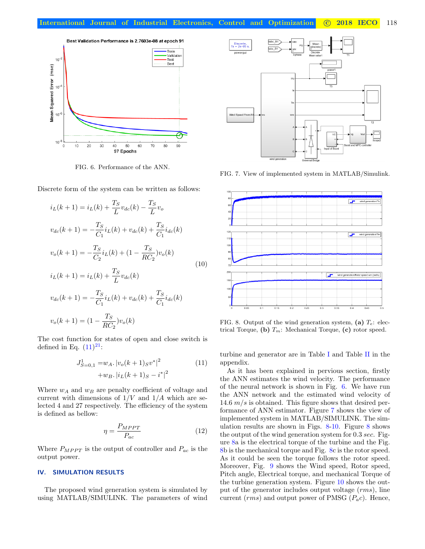

<span id="page-3-2"></span>FIG. 6. Performance of the ANN.

Discrete form of the system can be written as follows:

$$
i_L(k+1) = i_L(k) + \frac{T_S}{L} v_{dc}(k) - \frac{T_S}{L} v_o
$$
  
\n
$$
v_{dc}(k+1) = -\frac{T_S}{C_1} i_L(k) + v_{dc}(k) + \frac{T_S}{C_1} i_{dc}(k)
$$
  
\n
$$
v_o(k+1) = -\frac{T_S}{C_2} i_L(k) + (1 - \frac{T_S}{RC_2}) v_o(k)
$$
  
\n
$$
i_L(k+1) = i_L(k) + \frac{T_S}{L} v_{dc}(k)
$$
  
\n
$$
v_{dc}(k+1) = -\frac{T_S}{C_1} i_L(k) + v_{dc}(k) + \frac{T_S}{C_1} i_{dc}(k)
$$
  
\n
$$
v_o(k+1) = (1 - \frac{T_S}{RC_2}) v_o(k)
$$

The cost function for states of open and close switch is defined in Eq.  $(11)^{21}$  $(11)^{21}$  $(11)^{21}$  $(11)^{21}$ :

$$
J_{S=0,1}^{1} = w_A. |v_o(k+1)_{S} v^*|^2
$$
  
+
$$
w_B. |i_L(k+1)_{S} - i^*|^2
$$
 (11)

Where  $w_A$  and  $w_B$  are penalty coefficient of voltage and current with dimensions of  $1/V$  and  $1/A$  which are selected 4 and 27 respectively. The efficiency of the system is defined as bellow:

$$
\eta = \frac{P_{MPPT}}{P_{ac}}\tag{12}
$$

Where  $P_{MPPT}$  is the output of controller and  $P_{ac}$  is the output power.

## <span id="page-3-0"></span>IV. SIMULATION RESULTS

The proposed wind generation system is simulated by using MATLAB/SIMULINK. The parameters of wind



<span id="page-3-3"></span>FIG. 7. View of implemented system in MATLAB/Simulink.



<span id="page-3-4"></span>FIG. 8. Output of the wind generation system, (a)  $T_e$ : electrical Torque, (b)  $T_m$ : Mechanical Torque, (c) rotor speed.

<span id="page-3-1"></span>turbine and generator are in Table [I](#page-4-5) and Table [II](#page-4-6) in the appendix.

As it has been explained in pervious section, firstly the ANN estimates the wind velocity. The performance of the neural network is shown in Fig. [6.](#page-3-2) We have run the ANN network and the estimated wind velocity of 14.6  $m/s$  is obtained. This figure shows that desired performance of ANN estimator. Figure [7](#page-3-3) shows the view of implemented system in MATLAB/SIMULINK. The simulation results are shown in Figs.  $8-10$  $8-10$ . Figure [8](#page-3-4) shows the output of the wind generation system for 0.3 sec. Figure [8a](#page-3-4) is the electrical torque of the turbine and the Fig. [8b](#page-3-4) is the mechanical torque and Fig. [8c](#page-3-4) is the rotor speed. As it could be seen the torque follows the rotor speed. Moreover, Fig. [9](#page-4-8) shows the Wind speed, Rotor speed, Pitch angle, Electrical torque, and mechanical Torque of the turbine generation system. Figure [10](#page-4-7) shows the output of the generator includes output voltage (rms), line current ( $rms$ ) and output power of PMSG ( $P_a c$ ). Hence,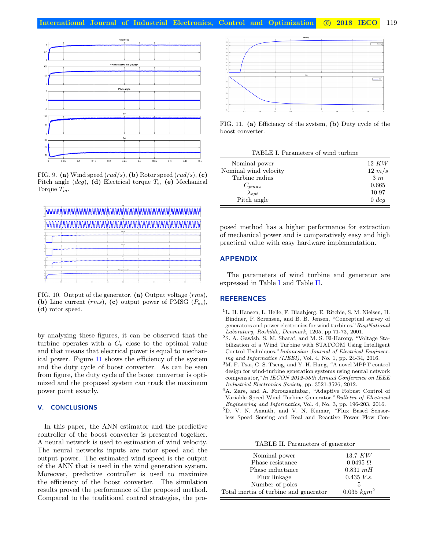

<span id="page-4-8"></span>FIG. 9. (a) Wind speed  $(rad/s)$ , (b) Rotor speed  $(rad/s)$ , (c) Pitch angle  $(deg)$ , (d) Electrical torque  $T_e$ , (e) Mechanical Torque  $T_m$ .



<span id="page-4-7"></span>FIG. 10. Output of the generator, (a) Output voltage (rms), (b) Line current  $(rms)$ , (c) output power of PMSG  $(P_{ac})$ , (d) rotor speed.

by analyzing these figures, it can be observed that the turbine operates with a  $C_p$  close to the optimal value and that means that electrical power is equal to mechanical power. Figure [11](#page-4-9) shows the efficiency of the system and the duty cycle of boost converter. As can be seen from figure, the duty cycle of the boost converter is optimized and the proposed system can track the maximum power point exactly.

## V. CONCLUSIONS

In this paper, the ANN estimator and the predictive controller of the boost converter is presented together. A neural network is used to estimation of wind velocity. The neural networks inputs are rotor speed and the output power. The estimated wind speed is the output of the ANN that is used in the wind generation system. Moreover, predictive controller is used to maximize the efficiency of the boost converter. The simulation results proved the performance of the proposed method. Compared to the traditional control strategies, the pro-



<span id="page-4-9"></span>FIG. 11. (a) Efficiency of the system, (b) Duty cycle of the boost converter.

<span id="page-4-5"></span>

| TABLE I. Parameters of wind turbine |                 |
|-------------------------------------|-----------------|
| Nominal power                       | 12 KW           |
| Nominal wind velocity               | $12 \; m/s$     |
| Turbine radius                      | 3m              |
| $C_{pmax}$                          | 0.665           |
| $\lambda_{opt}$                     | 10.97           |
| Pitch angle                         | $0 \text{ deg}$ |

posed method has a higher performance for extraction of mechanical power and is comparatively easy and high practical value with easy hardware implementation.

## APPENDIX

The parameters of wind turbine and generator are expressed in Table [I](#page-4-5) and Table [II.](#page-4-6)

## **REFERENCES**

- <span id="page-4-0"></span><sup>1</sup>L. H. Hansen, L. Helle, F. Blaabjerg, E. Ritchie, S. M. Nielsen, H. Bindner, P. Sørensen, and B. B. Jensen, "Conceptual survey of generators and power electronics for wind turbines,"RisøNational Laboratory, Roskilde, Denmark, 1205, pp.71-73, 2001.
- <span id="page-4-1"></span><sup>2</sup>S. A. Gawish, S. M. Sharaf, and M. S. El-Harony, "Voltage Stabilization of a Wind Turbine with STATCOM Using Intelligent Control Techniques,"Indonesian Journal of Electrical Engineering and Informatics (IJEEI), Vol. 4, No. 1, pp. 24-34, 2016.
- <span id="page-4-2"></span><sup>3</sup>M. F. Tsai, C. S. Tseng, and Y. H. Hung, "A novel MPPT control design for wind-turbine generation systems using neural network compensator,"In IECON 2012-38th Annual Conference on IEEE Industrial Electronics Society, pp. 3521-3526, 2012.
- <span id="page-4-3"></span><sup>4</sup>A. Zare, and A. Forouzantabar, "Adaptive Robust Control of Variable Speed Wind Turbine Generator,"Bulletin of Electrical Engineering and Informatics, Vol. 4, No. 3, pp. 196-203, 2016.
- <span id="page-4-4"></span><sup>5</sup>D. V. N. Ananth, and V. N. Kumar, "Flux Based Sensorless Speed Sensing and Real and Reactive Power Flow Con-

<span id="page-4-6"></span>TABLE II. Parameters of generator

| Nominal power                          | $13.7$ KW        |
|----------------------------------------|------------------|
| Phase resistance                       | $0.0495 \Omega$  |
| Phase inductance                       | $0.831$ mH       |
| Flux linkage                           | $0.435\;V.s.$    |
| Number of poles                        | 5                |
| Total inertia of turbine and generator | $0.035 \; kgm^2$ |
|                                        |                  |